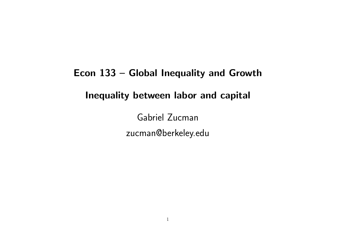# Econ 133 – Global Inequality and Growth Inequality between labor and capital

Gabriel Zucman zucman@berkeley.edu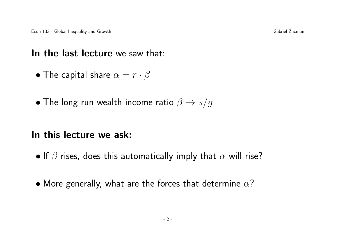#### In the last lecture we saw that:

- The capital share  $\alpha = r \cdot \beta$
- The long-run wealth-income ratio  $\beta \rightarrow s/g$

#### In this lecture we ask:

- If  $\beta$  rises, does this automatically imply that  $\alpha$  will rise?
- More generally, what are the forces that determine  $\alpha$ ?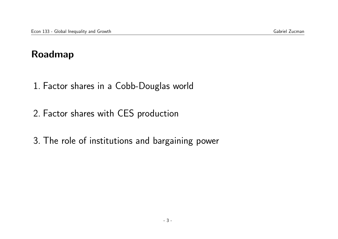## Roadmap

- 1. Factor shares in a Cobb-Douglas world
- 2. Factor shares with CES production
- 3. The role of institutions and bargaining power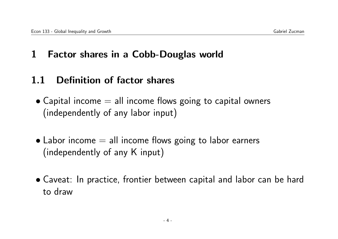## 1 Factor shares in a Cobb-Douglas world

## 1.1 Definition of factor shares

- $\bullet$  Capital income  $=$  all income flows going to capital owners (independently of any labor input)
- $\bullet$  Labor income  $=$  all income flows going to labor earners (independently of any K input)
- Caveat: In practice, frontier between capital and labor can be hard to draw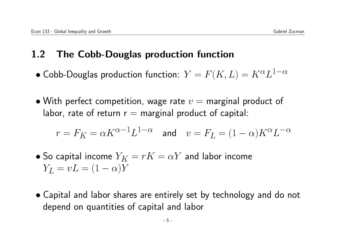## 1.2 The Cobb-Douglas production function

- $\bullet$  Cobb-Douglas production function:  $Y=F(K,L)=K^{\alpha}L^{1-\alpha}$
- With perfect competition, wage rate  $v =$  marginal product of labor, rate of return  $r =$  marginal product of capital:

$$
r = F_K = \alpha K^{\alpha-1} L^{1-\alpha} \quad \text{and} \quad v = F_L = (1-\alpha) K^{\alpha} L^{-\alpha}
$$

- So capital income  $Y_K = rK = \alpha Y$  and labor income  $Y_L = vL = (1 - \alpha)Y$
- Capital and labor shares are entirely set by technology and do not depend on quantities of capital and labor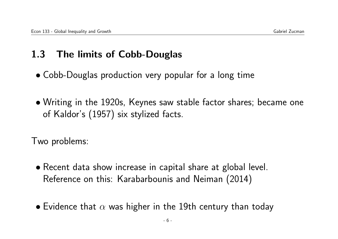## 1.3 The limits of Cobb-Douglas

- Cobb-Douglas production very popular for a long time
- Writing in the 1920s, Keynes saw stable factor shares; became one of Kaldor's (1957) six stylized facts.

Two problems:

- Recent data show increase in capital share at global level. Reference on this: Karabarbounis and Neiman (2014)
- Evidence that  $\alpha$  was higher in the 19th century than today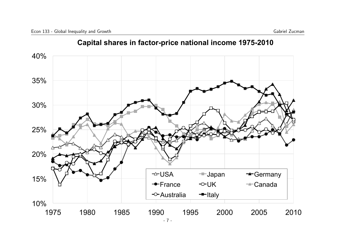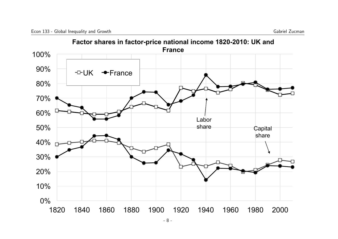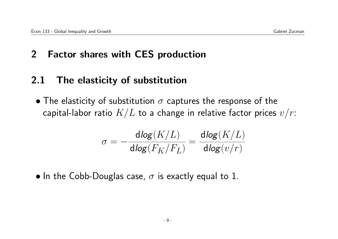## 2 Factor shares with CES production

### 2.1 The elasticity of substitution

• The elasticity of substitution  $\sigma$  captures the response of the capital-labor ratio  $K/L$  to a change in relative factor prices  $v/r$ :

$$
\sigma = -\frac{\mathsf{dlog}(K/L)}{\mathsf{dlog}(F_K/F_L)} = \frac{\mathsf{dlog}(K/L)}{\mathsf{dlog}(v/r)}
$$

• In the Cobb-Douglas case,  $\sigma$  is exactly equal to 1.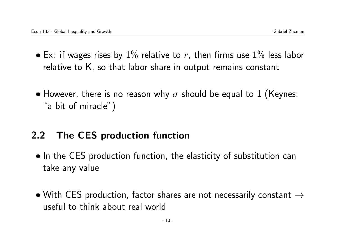- Ex: if wages rises by 1% relative to r, then firms use 1% less labor relative to K, so that labor share in output remains constant
- However, there is no reason why  $\sigma$  should be equal to 1 (Keynes: "a bit of miracle")

## 2.2 The CES production function

- In the CES production function, the elasticity of substitution can take any value
- With CES production, factor shares are not necessarily constant  $\rightarrow$ useful to think about real world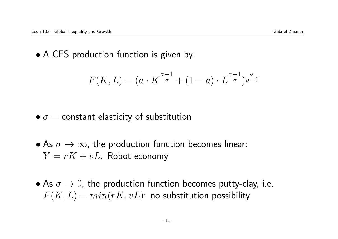• A CES production function is given by:

$$
F(K,L)=(a\cdot K^{\frac{\sigma-1}{\sigma}}+(1-a)\cdot L^{\frac{\sigma-1}{\sigma}})^{\frac{\sigma}{\sigma-1}}
$$

#### $\bullet \sigma = \text{constant elasticity of substitution}$

- As  $\sigma \to \infty$ , the production function becomes linear:  $Y = rK + vL$ . Robot economy
- As  $\sigma \rightarrow 0$ , the production function becomes putty-clay, i.e.  $F(K, L) = min(rK, vL)$ : no substitution possibility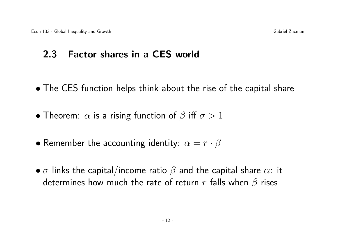## 2.3 Factor shares in a CES world

- The CES function helps think about the rise of the capital share
- Theorem:  $\alpha$  is a rising function of  $\beta$  iff  $\sigma > 1$
- Remember the accounting identity:  $\alpha = r \cdot \beta$
- $\bullet$   $\sigma$  links the capital/income ratio  $\beta$  and the capital share  $\alpha$ : it determines how much the rate of return r falls when  $\beta$  rises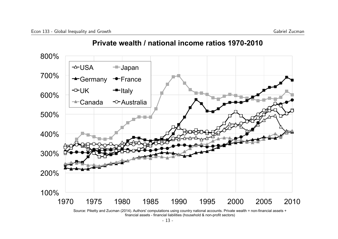## 100% 200% 300% 400% 500% 600% 700% 800% 1970 1975 1980 1985 1990 1995 2000 2005 2010  $\rightarrow$  USA  $\rightarrow$  Japan Germany <sup>-</sup>France  $-\rightarrow$  UK  $-\rightarrow$  Italy  $\leftarrow$ Canada  $\leftarrow$ Australia

#### **Private wealth / national income ratios 1970-2010**

Source: Piketty and Zucman (2014). Authors' computations using country national accounts. Private wealth = non-financial assets + financial assets - financial liabilities (household & non-profit sectors)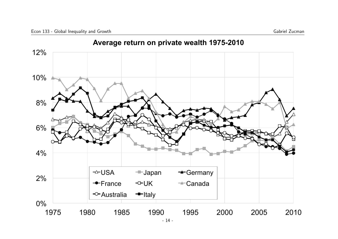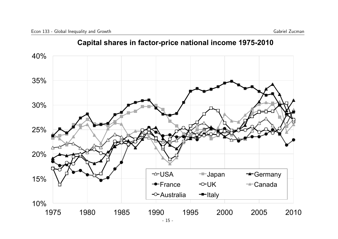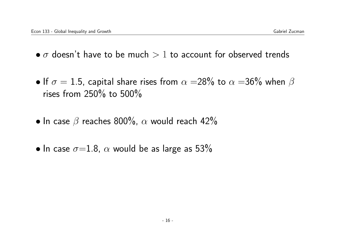- $\bullet$   $\sigma$  doesn't have to be much  $> 1$  to account for observed trends
- If  $\sigma = 1.5$ , capital share rises from  $\alpha = 28\%$  to  $\alpha = 36\%$  when  $\beta$ rises from 250% to 500%
- In case  $\beta$  reaches 800%,  $\alpha$  would reach 42%
- In case  $\sigma = 1.8$ ,  $\alpha$  would be as large as 53%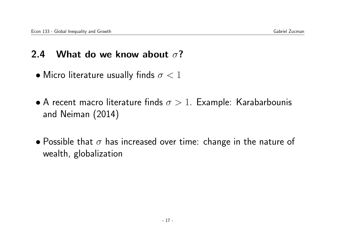### 2.4 What do we know about  $\sigma$ ?

- Micro literature usually finds  $\sigma < 1$
- A recent macro literature finds  $\sigma > 1$ . Example: Karabarbounis and Neiman (2014)
- Possible that  $\sigma$  has increased over time: change in the nature of wealth, globalization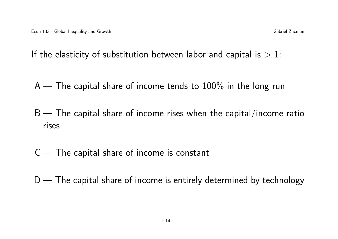If the elasticity of substitution between labor and capital is  $> 1$ :

 $A$  — The capital share of income tends to  $100\%$  in the long run

 $B$  — The capital share of income rises when the capital/income ratio rises

 $C$  — The capital share of income is constant

 $D$  — The capital share of income is entirely determined by technology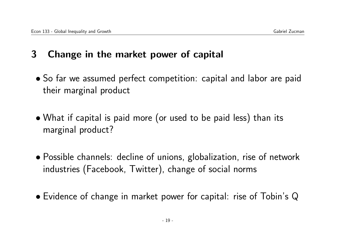## 3 Change in the market power of capital

- So far we assumed perfect competition: capital and labor are paid their marginal product
- What if capital is paid more (or used to be paid less) than its marginal product?
- Possible channels: decline of unions, globalization, rise of network industries (Facebook, Twitter), change of social norms
- Evidence of change in market power for capital: rise of Tobin's Q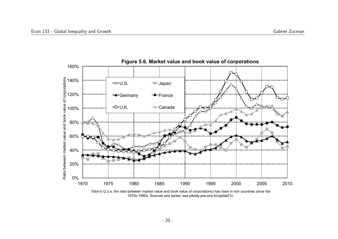

Tobin's Q (i.e. the ratio between market value and book value of corporations) has risen in rich countries since the 1970s-1980s. Sources and series: see piketty.pse.ens.fr/capital21c.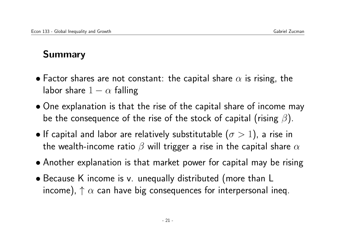## Summary

- Factor shares are not constant: the capital share  $\alpha$  is rising, the labor share  $1 - \alpha$  falling
- One explanation is that the rise of the capital share of income may be the consequence of the rise of the stock of capital (rising  $\beta$ ).
- If capital and labor are relatively substitutable  $(\sigma > 1)$ , a rise in the wealth-income ratio  $\beta$  will trigger a rise in the capital share  $\alpha$
- Another explanation is that market power for capital may be rising
- Because K income is v. unequally distributed (more than L income),  $\uparrow \alpha$  can have big consequences for interpersonal ineq.